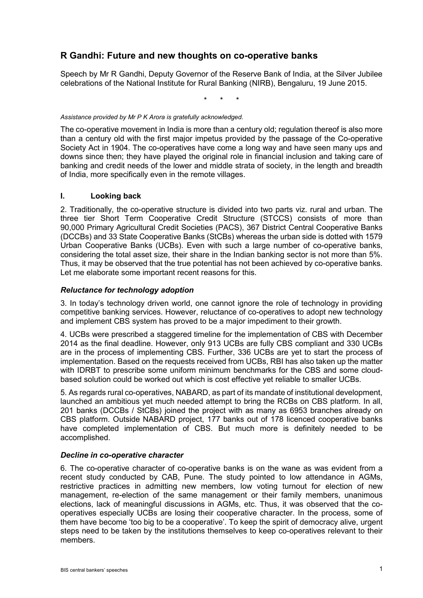# **R Gandhi: Future and new thoughts on co-operative banks**

Speech by Mr R Gandhi, Deputy Governor of the Reserve Bank of India, at the Silver Jubilee celebrations of the National Institute for Rural Banking (NIRB), Bengaluru, 19 June 2015.

\* \* \*

#### *Assistance provided by Mr P K Arora is gratefully acknowledged.*

The co-operative movement in India is more than a century old; regulation thereof is also more than a century old with the first major impetus provided by the passage of the Co-operative Society Act in 1904. The co-operatives have come a long way and have seen many ups and downs since then; they have played the original role in financial inclusion and taking care of banking and credit needs of the lower and middle strata of society, in the length and breadth of India, more specifically even in the remote villages.

#### **I. Looking back**

2. Traditionally, the co-operative structure is divided into two parts viz. rural and urban. The three tier Short Term Cooperative Credit Structure (STCCS) consists of more than 90,000 Primary Agricultural Credit Societies (PACS), 367 District Central Cooperative Banks (DCCBs) and 33 State Cooperative Banks (StCBs) whereas the urban side is dotted with 1579 Urban Cooperative Banks (UCBs). Even with such a large number of co-operative banks, considering the total asset size, their share in the Indian banking sector is not more than 5%. Thus, it may be observed that the true potential has not been achieved by co-operative banks. Let me elaborate some important recent reasons for this.

### *Reluctance for technology adoption*

3. In today's technology driven world, one cannot ignore the role of technology in providing competitive banking services. However, reluctance of co-operatives to adopt new technology and implement CBS system has proved to be a major impediment to their growth.

4. UCBs were prescribed a staggered timeline for the implementation of CBS with December 2014 as the final deadline. However, only 913 UCBs are fully CBS compliant and 330 UCBs are in the process of implementing CBS. Further, 336 UCBs are yet to start the process of implementation. Based on the requests received from UCBs, RBI has also taken up the matter with IDRBT to prescribe some uniform minimum benchmarks for the CBS and some cloudbased solution could be worked out which is cost effective yet reliable to smaller UCBs.

5. As regards rural co-operatives, NABARD, as part of its mandate of institutional development, launched an ambitious yet much needed attempt to bring the RCBs on CBS platform. In all, 201 banks (DCCBs / StCBs) joined the project with as many as 6953 branches already on CBS platform. Outside NABARD project, 177 banks out of 178 licenced cooperative banks have completed implementation of CBS. But much more is definitely needed to be accomplished.

#### *Decline in co-operative character*

6. The co-operative character of co-operative banks is on the wane as was evident from a recent study conducted by CAB, Pune. The study pointed to low attendance in AGMs, restrictive practices in admitting new members, low voting turnout for election of new management, re-election of the same management or their family members, unanimous elections, lack of meaningful discussions in AGMs, etc. Thus, it was observed that the cooperatives especially UCBs are losing their cooperative character. In the process, some of them have become 'too big to be a cooperative'. To keep the spirit of democracy alive, urgent steps need to be taken by the institutions themselves to keep co-operatives relevant to their members.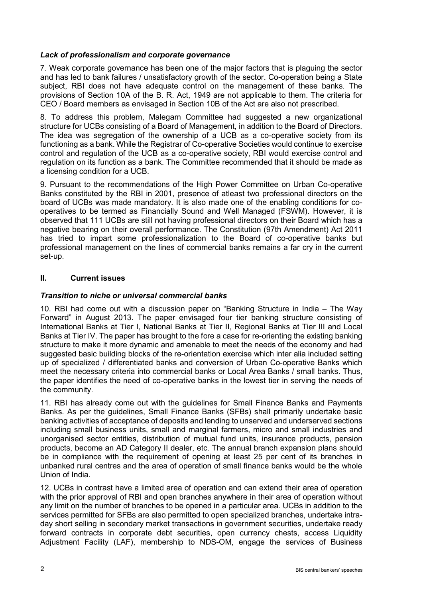# *Lack of professionalism and corporate governance*

7. Weak corporate governance has been one of the major factors that is plaguing the sector and has led to bank failures / unsatisfactory growth of the sector. Co-operation being a State subject, RBI does not have adequate control on the management of these banks. The provisions of Section 10A of the B. R. Act, 1949 are not applicable to them. The criteria for CEO / Board members as envisaged in Section 10B of the Act are also not prescribed.

8. To address this problem, Malegam Committee had suggested a new organizational structure for UCBs consisting of a Board of Management, in addition to the Board of Directors. The idea was segregation of the ownership of a UCB as a co-operative society from its functioning as a bank. While the Registrar of Co-operative Societies would continue to exercise control and regulation of the UCB as a co-operative society, RBI would exercise control and regulation on its function as a bank. The Committee recommended that it should be made as a licensing condition for a UCB.

9. Pursuant to the recommendations of the High Power Committee on Urban Co-operative Banks constituted by the RBI in 2001, presence of atleast two professional directors on the board of UCBs was made mandatory. It is also made one of the enabling conditions for cooperatives to be termed as Financially Sound and Well Managed (FSWM). However, it is observed that 111 UCBs are still not having professional directors on their Board which has a negative bearing on their overall performance. The Constitution (97th Amendment) Act 2011 has tried to impart some professionalization to the Board of co-operative banks but professional management on the lines of commercial banks remains a far cry in the current set-up.

## **II. Current issues**

# *Transition to niche or universal commercial banks*

10. RBI had come out with a discussion paper on "Banking Structure in India – The Way Forward" in August 2013. The paper envisaged four tier banking structure consisting of International Banks at Tier I, National Banks at Tier II, Regional Banks at Tier III and Local Banks at Tier IV. The paper has brought to the fore a case for re-orienting the existing banking structure to make it more dynamic and amenable to meet the needs of the economy and had suggested basic building blocks of the re-orientation exercise which inter alia included setting up of specialized / differentiated banks and conversion of Urban Co-operative Banks which meet the necessary criteria into commercial banks or Local Area Banks / small banks. Thus, the paper identifies the need of co-operative banks in the lowest tier in serving the needs of the community.

11. RBI has already come out with the guidelines for Small Finance Banks and Payments Banks. As per the guidelines, Small Finance Banks (SFBs) shall primarily undertake basic banking activities of acceptance of deposits and lending to unserved and underserved sections including small business units, small and marginal farmers, micro and small industries and unorganised sector entities, distribution of mutual fund units, insurance products, pension products, become an AD Category II dealer, etc. The annual branch expansion plans should be in compliance with the requirement of opening at least 25 per cent of its branches in unbanked rural centres and the area of operation of small finance banks would be the whole Union of India.

12. UCBs in contrast have a limited area of operation and can extend their area of operation with the prior approval of RBI and open branches anywhere in their area of operation without any limit on the number of branches to be opened in a particular area. UCBs in addition to the services permitted for SFBs are also permitted to open specialized branches, undertake intraday short selling in secondary market transactions in government securities, undertake ready forward contracts in corporate debt securities, open currency chests, access Liquidity Adjustment Facility (LAF), membership to NDS-OM, engage the services of Business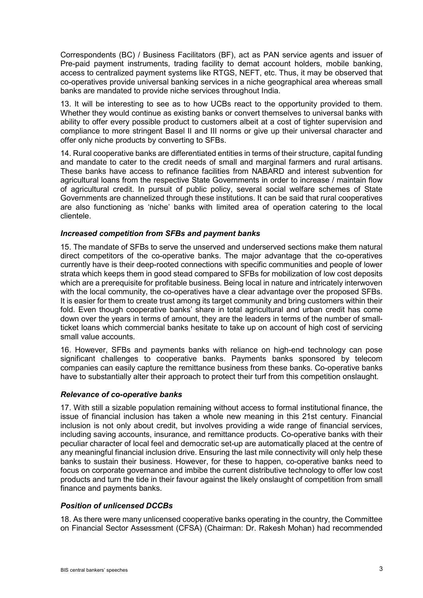Correspondents (BC) / Business Facilitators (BF), act as PAN service agents and issuer of Pre-paid payment instruments, trading facility to demat account holders, mobile banking, access to centralized payment systems like RTGS, NEFT, etc. Thus, it may be observed that co-operatives provide universal banking services in a niche geographical area whereas small banks are mandated to provide niche services throughout India.

13. It will be interesting to see as to how UCBs react to the opportunity provided to them. Whether they would continue as existing banks or convert themselves to universal banks with ability to offer every possible product to customers albeit at a cost of tighter supervision and compliance to more stringent Basel II and III norms or give up their universal character and offer only niche products by converting to SFBs.

14. Rural cooperative banks are differentiated entities in terms of their structure, capital funding and mandate to cater to the credit needs of small and marginal farmers and rural artisans. These banks have access to refinance facilities from NABARD and interest subvention for agricultural loans from the respective State Governments in order to increase / maintain flow of agricultural credit. In pursuit of public policy, several social welfare schemes of State Governments are channelized through these institutions. It can be said that rural cooperatives are also functioning as 'niche' banks with limited area of operation catering to the local clientele.

## *Increased competition from SFBs and payment banks*

15. The mandate of SFBs to serve the unserved and underserved sections make them natural direct competitors of the co-operative banks. The major advantage that the co-operatives currently have is their deep-rooted connections with specific communities and people of lower strata which keeps them in good stead compared to SFBs for mobilization of low cost deposits which are a prerequisite for profitable business. Being local in nature and intricately interwoven with the local community, the co-operatives have a clear advantage over the proposed SFBs. It is easier for them to create trust among its target community and bring customers within their fold. Even though cooperative banks' share in total agricultural and urban credit has come down over the years in terms of amount, they are the leaders in terms of the number of smallticket loans which commercial banks hesitate to take up on account of high cost of servicing small value accounts.

16. However, SFBs and payments banks with reliance on high-end technology can pose significant challenges to cooperative banks. Payments banks sponsored by telecom companies can easily capture the remittance business from these banks. Co-operative banks have to substantially alter their approach to protect their turf from this competition onslaught.

#### *Relevance of co-operative banks*

17. With still a sizable population remaining without access to formal institutional finance, the issue of financial inclusion has taken a whole new meaning in this 21st century. Financial inclusion is not only about credit, but involves providing a wide range of financial services, including saving accounts, insurance, and remittance products. Co-operative banks with their peculiar character of local feel and democratic set-up are automatically placed at the centre of any meaningful financial inclusion drive. Ensuring the last mile connectivity will only help these banks to sustain their business. However, for these to happen, co-operative banks need to focus on corporate governance and imbibe the current distributive technology to offer low cost products and turn the tide in their favour against the likely onslaught of competition from small finance and payments banks.

#### *Position of unlicensed DCCBs*

18. As there were many unlicensed cooperative banks operating in the country, the Committee on Financial Sector Assessment (CFSA) (Chairman: Dr. Rakesh Mohan) had recommended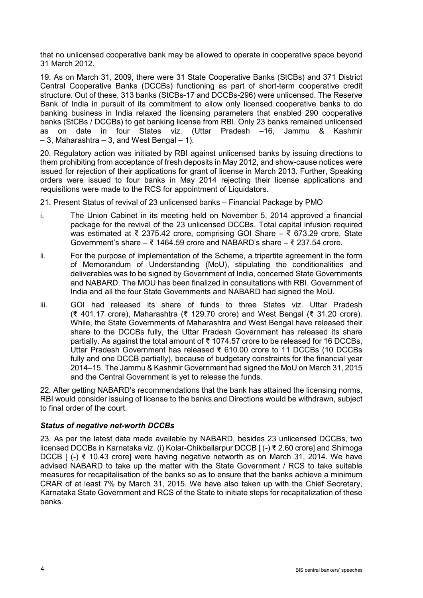that no unlicensed cooperative bank may be allowed to operate in cooperative space beyond 31 March 2012.

19. As on March 31, 2009, there were 31 State Cooperative Banks (StCBs) and 371 District Central Cooperative Banks (DCCBs) functioning as part of short-term cooperative credit structure. Out of these, 313 banks (StCBs-17 and DCCBs-296) were unlicensed. The Reserve Bank of India in pursuit of its commitment to allow only licensed cooperative banks to do banking business in India relaxed the licensing parameters that enabled 290 cooperative banks (StCBs / DCCBs) to get banking license from RBI. Only 23 banks remained unlicensed as on date in four States viz. (Uttar Pradesh –16, Jammu & Kashmir  $-$  3, Maharashtra  $-$  3, and West Bengal  $-$  1).

20. Regulatory action was initiated by RBI against unlicensed banks by issuing directions to them prohibiting from acceptance of fresh deposits in May 2012, and show-cause notices were issued for rejection of their applications for grant of license in March 2013. Further, Speaking orders were issued to four banks in May 2014 rejecting their license applications and requisitions were made to the RCS for appointment of Liquidators.

21. Present Status of revival of 23 unlicensed banks – Financial Package by PMO

- i. The Union Cabinet in its meeting held on November 5, 2014 approved a financial package for the revival of the 23 unlicensed DCCBs. Total capital infusion required was estimated at ₹ 2375.42 crore, comprising GOI Share – ₹ 673.29 crore, State Government's share – ₹ 1464.59 crore and NABARD's share – ₹ 237.54 crore.
- ii. For the purpose of implementation of the Scheme, a tripartite agreement in the form of Memorandum of Understanding (MoU), stipulating the conditionalities and deliverables was to be signed by Government of India, concerned State Governments and NABARD. The MOU has been finalized in consultations with RBI. Government of India and all the four State Governments and NABARD had signed the MoU.
- iii. GOI had released its share of funds to three States viz. Uttar Pradesh (₹ 401.17 crore), Maharashtra (₹ 129.70 crore) and West Bengal (₹ 31.20 crore). While, the State Governments of Maharashtra and West Bengal have released their share to the DCCBs fully, the Uttar Pradesh Government has released its share partially. As against the total amount of  $\bar{\tau}$  1074.57 crore to be released for 16 DCCBs, Uttar Pradesh Government has released ₹ 610.00 crore to 11 DCCBs (10 DCCBs fully and one DCCB partially), because of budgetary constraints for the financial year 2014–15. The Jammu & Kashmir Government had signed the MoU on March 31, 2015 and the Central Government is yet to release the funds.

22. After getting NABARD's recommendations that the bank has attained the licensing norms, RBI would consider issuing of license to the banks and Directions would be withdrawn, subject to final order of the court.

## *Status of negative net-worth DCCBs*

23. As per the latest data made available by NABARD, besides 23 unlicensed DCCBs, two licensed DCCBs in Karnataka viz. (i) Kolar-Chikballarpur DCCB [ (-) ₹ 2.60 crore] and Shimoga DCCB [ (-) ₹ 10.43 crore] were having negative networth as on March 31, 2014. We have advised NABARD to take up the matter with the State Government / RCS to take suitable measures for recapitalisation of the banks so as to ensure that the banks achieve a minimum CRAR of at least 7% by March 31, 2015. We have also taken up with the Chief Secretary, Karnataka State Government and RCS of the State to initiate steps for recapitalization of these banks.